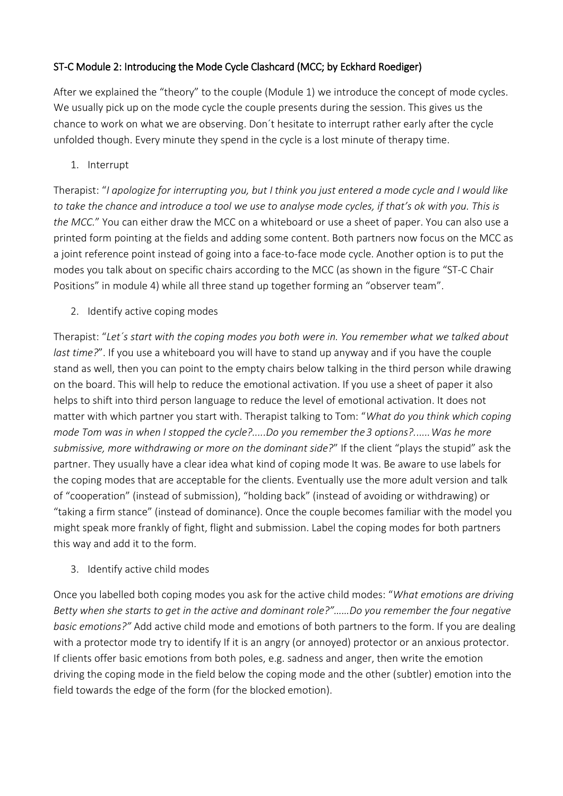## ST-C Module 2: Introducing the Mode Cycle Clashcard (MCC; by Eckhard Roediger)

After we explained the "theory" to the couple (Module 1) we introduce the concept of mode cycles. We usually pick up on the mode cycle the couple presents during the session. This gives us the chance to work on what we are observing. Don´t hesitate to interrupt rather early after the cycle unfolded though. Every minute they spend in the cycle is a lost minute of therapy time.

1. Interrupt

Therapist: "*I apologize for interrupting you, but I think you just entered a mode cycle and I would like to take the chance and introduce a tool we use to analyse mode cycles, if that's ok with you. This is the MCC.*" You can either draw the MCC on a whiteboard or use a sheet of paper. You can also use a printed form pointing at the fields and adding some content. Both partners now focus on the MCC as a joint reference point instead of going into a face-to-face mode cycle. Another option is to put the modes you talk about on specific chairs according to the MCC (as shown in the figure "ST-C Chair Positions" in module 4) while all three stand up together forming an "observer team".

2. Identify active coping modes

Therapist: "*Let´s start with the coping modes you both were in. You remember what we talked about last time?*". If you use a whiteboard you will have to stand up anyway and if you have the couple stand as well, then you can point to the empty chairs below talking in the third person while drawing on the board. This will help to reduce the emotional activation. If you use a sheet of paper it also helps to shift into third person language to reduce the level of emotional activation. It does not matter with which partner you start with. Therapist talking to Tom: "*What do you think which coping mode Tom was in when I stopped the cycle?.....Do you remember the3 options?......Was he more submissive, more withdrawing or more on the dominant side?*" If the client "plays the stupid" ask the partner. They usually have a clear idea what kind of coping mode It was. Be aware to use labels for the coping modes that are acceptable for the clients. Eventually use the more adult version and talk of "cooperation" (instead of submission), "holding back" (instead of avoiding or withdrawing) or "taking a firm stance" (instead of dominance). Once the couple becomes familiar with the model you might speak more frankly of fight, flight and submission. Label the coping modes for both partners this way and add it to the form.

3. Identify active child modes

Once you labelled both coping modes you ask for the active child modes: "*What emotions are driving Betty when she starts to get in the active and dominant role?"……Do you remember the four negative basic emotions?"* Add active child mode and emotions of both partners to the form. If you are dealing with a protector mode try to identify If it is an angry (or annoyed) protector or an anxious protector. If clients offer basic emotions from both poles, e.g. sadness and anger, then write the emotion driving the coping mode in the field below the coping mode and the other (subtler) emotion into the field towards the edge of the form (for the blocked emotion).